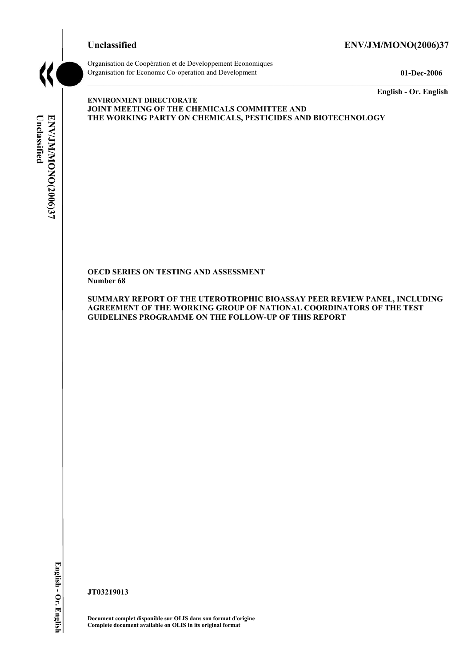### **Unclassified ENV/JM/MONO(2006)37**



Organisation de Coopération et de Développement Economiques Organisation for Economic Co-operation and Development **01-Dec-2006** 

**English - Or. English** 

# Unclassified **Unclassified**  ENV/JM/MONO(2006)37 **ENV/JM/MONO(2006)37 English - Or. English**

**ENVIRONMENT DIRECTORATE JOINT MEETING OF THE CHEMICALS COMMITTEE AND THE WORKING PARTY ON CHEMICALS, PESTICIDES AND BIOTECHNOLOGY** 

**OECD SERIES ON TESTING AND ASSESSMENT Number 68** 

**SUMMARY REPORT OF THE UTEROTROPHIC BIOASSAY PEER REVIEW PANEL, INCLUDING AGREEMENT OF THE WORKING GROUP OF NATIONAL COORDINATORS OF THE TEST GUIDELINES PROGRAMME ON THE FOLLOW-UP OF THIS REPORT** 

**JT03219013** 

**Document complet disponible sur OLIS dans son format d'origine Complete document available on OLIS in its original format**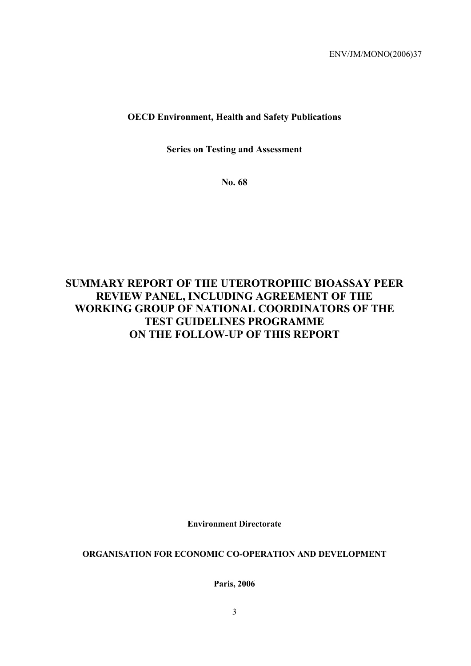## **OECD Environment, Health and Safety Publications**

**Series on Testing and Assessment** 

**No. 68** 

# **SUMMARY REPORT OF THE UTEROTROPHIC BIOASSAY PEER REVIEW PANEL, INCLUDING AGREEMENT OF THE WORKING GROUP OF NATIONAL COORDINATORS OF THE TEST GUIDELINES PROGRAMME ON THE FOLLOW-UP OF THIS REPORT**

**Environment Directorate** 

**ORGANISATION FOR ECONOMIC CO-OPERATION AND DEVELOPMENT** 

**Paris, 2006**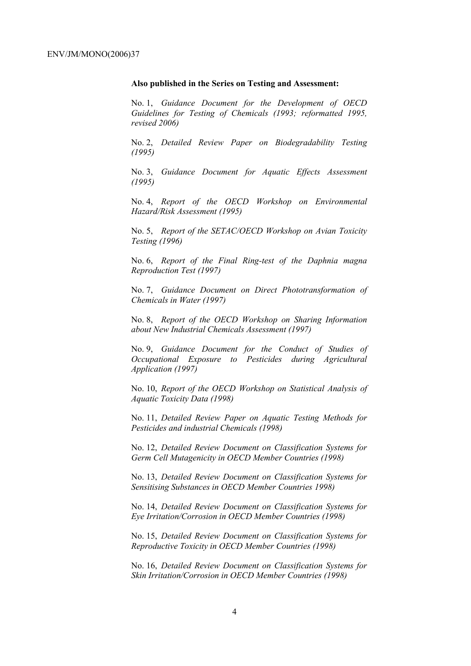### **Also published in the Series on Testing and Assessment:**

No. 1, *Guidance Document for the Development of OECD Guidelines for Testing of Chemicals (1993; reformatted 1995, revised 2006)*

No. 2, *Detailed Review Paper on Biodegradability Testing (1995)*

No. 3, *Guidance Document for Aquatic Effects Assessment (1995)* 

No. 4, *Report of the OECD Workshop on Environmental Hazard/Risk Assessment (1995)*

No. 5, *Report of the SETAC/OECD Workshop on Avian Toxicity Testing (1996)*

No. 6, *Report of the Final Ring-test of the Daphnia magna Reproduction Test (1997)*

No. 7, *Guidance Document on Direct Phototransformation of Chemicals in Water (1997)* 

No. 8, *Report of the OECD Workshop on Sharing Information about New Industrial Chemicals Assessment (1997)*

No. 9, *Guidance Document for the Conduct of Studies of Occupational Exposure to Pesticides during Agricultural Application (1997)*

No. 10, *Report of the OECD Workshop on Statistical Analysis of Aquatic Toxicity Data (1998)*

No. 11, *Detailed Review Paper on Aquatic Testing Methods for Pesticides and industrial Chemicals (1998)*

No. 12, *Detailed Review Document on Classification Systems for Germ Cell Mutagenicity in OECD Member Countries (1998)*

No. 13, *Detailed Review Document on Classification Systems for Sensitising Substances in OECD Member Countries 1998)*

No. 14, *Detailed Review Document on Classification Systems for Eye Irritation/Corrosion in OECD Member Countries (1998)*

No. 15, *Detailed Review Document on Classification Systems for Reproductive Toxicity in OECD Member Countries (1998)*

No. 16, *Detailed Review Document on Classification Systems for Skin Irritation/Corrosion in OECD Member Countries (1998)*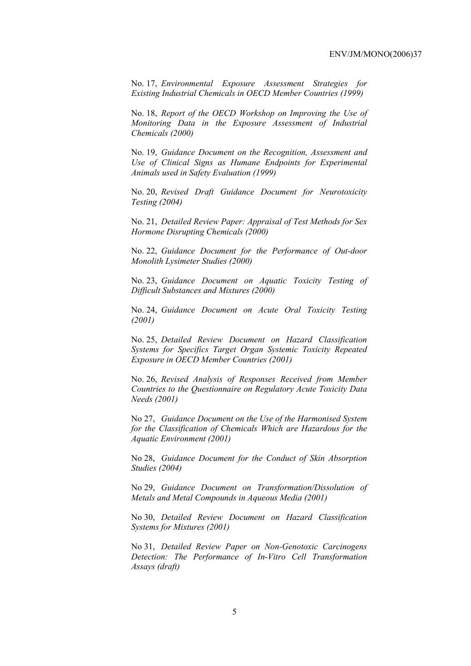No. 17, *Environmental Exposure Assessment Strategies for Existing Industrial Chemicals in OECD Member Countries (1999)*

No. 18, *Report of the OECD Workshop on Improving the Use of Monitoring Data in the Exposure Assessment of Industrial Chemicals (2000)*

No. 19, *Guidance Document on the Recognition, Assessment and Use of Clinical Signs as Humane Endpoints for Experimental Animals used in Safety Evaluation (1999)*

No. 20, *Revised Draft Guidance Document for Neurotoxicity Testing (2004)*

No. 21, *Detailed Review Paper: Appraisal of Test Methods for Sex Hormone Disrupting Chemicals (2000)*

No. 22, *Guidance Document for the Performance of Out-door Monolith Lysimeter Studies (2000)*

No. 23, *Guidance Document on Aquatic Toxicity Testing of Difficult Substances and Mixtures (2000)*

No. 24, *Guidance Document on Acute Oral Toxicity Testing (2001)*

No. 25, *Detailed Review Document on Hazard Classification Systems for Specifics Target Organ Systemic Toxicity Repeated Exposure in OECD Member Countries (2001)*

No. 26, *Revised Analysis of Responses Received from Member Countries to the Questionnaire on Regulatory Acute Toxicity Data Needs (2001)*

No 27, *Guidance Document on the Use of the Harmonised System for the Classification of Chemicals Which are Hazardous for the Aquatic Environment (2001)*

No 28, *Guidance Document for the Conduct of Skin Absorption Studies (2004)*

No 29, *Guidance Document on Transformation/Dissolution of Metals and Metal Compounds in Aqueous Media (2001)*

No 30, *Detailed Review Document on Hazard Classification Systems for Mixtures (2001)*

No 31, *Detailed Review Paper on Non-Genotoxic Carcinogens Detection: The Performance of In-Vitro Cell Transformation Assays (draft)*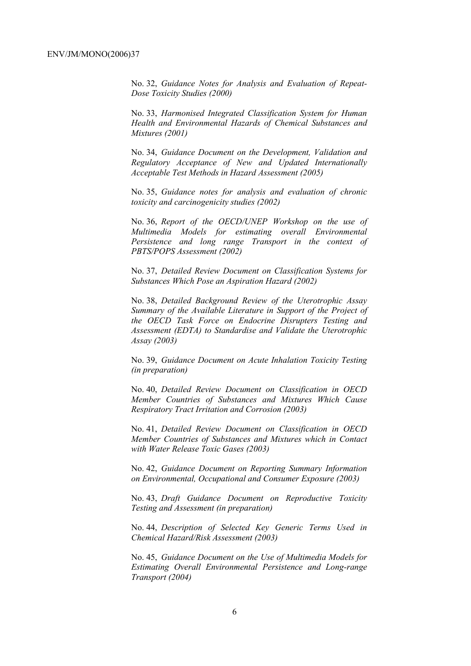No. 32, *Guidance Notes for Analysis and Evaluation of Repeat-Dose Toxicity Studies (2000)*

No. 33, *Harmonised Integrated Classification System for Human Health and Environmental Hazards of Chemical Substances and Mixtures (2001)*

No. 34, *Guidance Document on the Development, Validation and Regulatory Acceptance of New and Updated Internationally Acceptable Test Methods in Hazard Assessment (2005)*

No. 35, *Guidance notes for analysis and evaluation of chronic toxicity and carcinogenicity studies (2002)*

No. 36, *Report of the OECD/UNEP Workshop on the use of Multimedia Models for estimating overall Environmental Persistence and long range Transport in the context of PBTS/POPS Assessment (2002)*

No. 37, *Detailed Review Document on Classification Systems for Substances Which Pose an Aspiration Hazard (2002)*

No. 38, *Detailed Background Review of the Uterotrophic Assay Summary of the Available Literature in Support of the Project of the OECD Task Force on Endocrine Disrupters Testing and Assessment (EDTA) to Standardise and Validate the Uterotrophic Assay (2003)*

No. 39, *Guidance Document on Acute Inhalation Toxicity Testing (in preparation)*

No. 40, *Detailed Review Document on Classification in OECD Member Countries of Substances and Mixtures Which Cause Respiratory Tract Irritation and Corrosion (2003)*

No. 41, *Detailed Review Document on Classification in OECD Member Countries of Substances and Mixtures which in Contact with Water Release Toxic Gases (2003)*

No. 42, *Guidance Document on Reporting Summary Information on Environmental, Occupational and Consumer Exposure (2003)*

No. 43, *Draft Guidance Document on Reproductive Toxicity Testing and Assessment (in preparation)*

No. 44, *Description of Selected Key Generic Terms Used in Chemical Hazard/Risk Assessment (2003)* 

No. 45, *Guidance Document on the Use of Multimedia Models for Estimating Overall Environmental Persistence and Long-range Transport (2004)*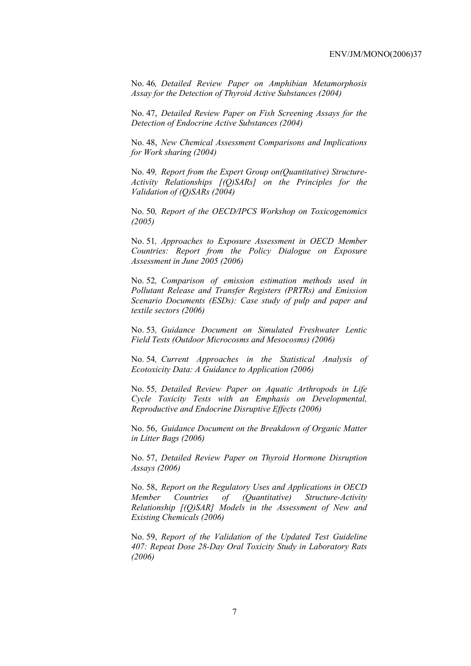No. 46*, Detailed Review Paper on Amphibian Metamorphosis Assay for the Detection of Thyroid Active Substances (2004)* 

No. 47, *Detailed Review Paper on Fish Screening Assays for the Detection of Endocrine Active Substances (2004)* 

No. 48, *New Chemical Assessment Comparisons and Implications for Work sharing (2004)* 

No. 49*, Report from the Expert Group on(Quantitative) Structure-Activity Relationships [(Q)SARs] on the Principles for the Validation of (Q)SARs (2004)* 

No. 50*, Report of the OECD/IPCS Workshop on Toxicogenomics (2005)* 

No. 51*, Approaches to Exposure Assessment in OECD Member Countries: Report from the Policy Dialogue on Exposure Assessment in June 2005 (2006)* 

No. 52*, Comparison of emission estimation methods used in Pollutant Release and Transfer Registers (PRTRs) and Emission Scenario Documents (ESDs): Case study of pulp and paper and textile sectors (2006)* 

No. 53*, Guidance Document on Simulated Freshwater Lentic Field Tests (Outdoor Microcosms and Mesocosms) (2006)* 

No. 54*, Current Approaches in the Statistical Analysis of Ecotoxicity Data: A Guidance to Application (2006)* 

No. 55*, Detailed Review Paper on Aquatic Arthropods in Life Cycle Toxicity Tests with an Emphasis on Developmental, Reproductive and Endocrine Disruptive Effects (2006)* 

No. 56, *Guidance Document on the Breakdown of Organic Matter in Litter Bags (2006)* 

No. 57, *Detailed Review Paper on Thyroid Hormone Disruption Assays (2006)* 

No. 58, *Report on the Regulatory Uses and Applications in OECD Member Countries of (Quantitative) Structure-Activity Relationship [(Q)SAR] Models in the Assessment of New and Existing Chemicals (2006)* 

No. 59, *Report of the Validation of the Updated Test Guideline 407: Repeat Dose 28-Day Oral Toxicity Study in Laboratory Rats (2006)*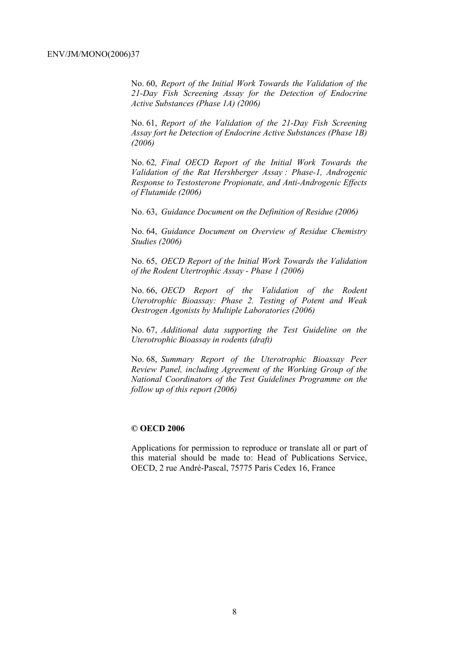No. 60, *Report of the Initial Work Towards the Validation of the 21-Day Fish Screening Assay for the Detection of Endocrine Active Substances (Phase 1A) (2006)* 

No. 61, *Report of the Validation of the 21-Day Fish Screening Assay fort he Detection of Endocrine Active Substances (Phase 1B) (2006)* 

No. 62*, Final OECD Report of the Initial Work Towards the Validation of the Rat Hershberger Assay : Phase-1, Androgenic Response to Testosterone Propionate, and Anti-Androgenic Effects of Flutamide (2006)* 

No. 63, *Guidance Document on the Definition of Residue (2006)* 

No. 64, *Guidance Document on Overview of Residue Chemistry Studies (2006)* 

No. 65, *OECD Report of the Initial Work Towards the Validation of the Rodent Utertrophic Assay - Phase 1 (2006)* 

No. 66, *OECD Report of the Validation of the Rodent Uterotrophic Bioassay: Phase 2. Testing of Potent and Weak Oestrogen Agonists by Multiple Laboratories (2006)* 

No. 67, *Additional data supporting the Test Guideline on the Uterotrophic Bioassay in rodents (draft)* 

No. 68, *Summary Report of the Uterotrophic Bioassay Peer Review Panel, including Agreement of the Working Group of the National Coordinators of the Test Guidelines Programme on the follow up of this report (2006)* 

### **© OECD 2006**

Applications for permission to reproduce or translate all or part of this material should be made to: Head of Publications Service, OECD, 2 rue André-Pascal, 75775 Paris Cedex 16, France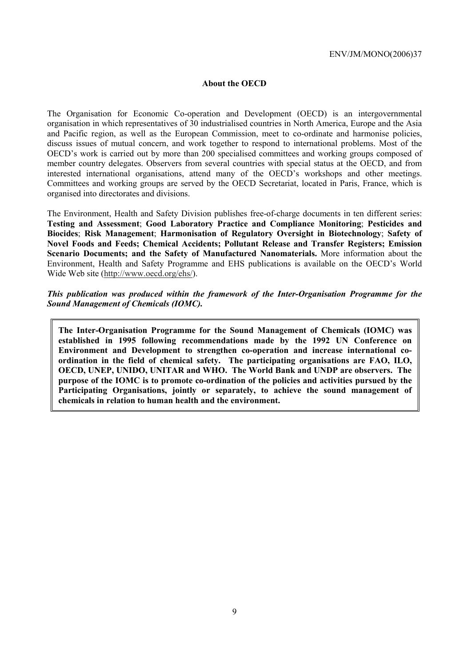### **About the OECD**

The Organisation for Economic Co-operation and Development (OECD) is an intergovernmental organisation in which representatives of 30 industrialised countries in North America, Europe and the Asia and Pacific region, as well as the European Commission, meet to co-ordinate and harmonise policies, discuss issues of mutual concern, and work together to respond to international problems. Most of the OECD's work is carried out by more than 200 specialised committees and working groups composed of member country delegates. Observers from several countries with special status at the OECD, and from interested international organisations, attend many of the OECD's workshops and other meetings. Committees and working groups are served by the OECD Secretariat, located in Paris, France, which is organised into directorates and divisions.

The Environment, Health and Safety Division publishes free-of-charge documents in ten different series: **Testing and Assessment**; **Good Laboratory Practice and Compliance Monitoring**; **Pesticides and Biocides**; **Risk Management**; **Harmonisation of Regulatory Oversight in Biotechnology**; **Safety of Novel Foods and Feeds; Chemical Accidents; Pollutant Release and Transfer Registers; Emission Scenario Documents; and the Safety of Manufactured Nanomaterials.** More information about the Environment, Health and Safety Programme and EHS publications is available on the OECD's World Wide Web site (http://www.oecd.org/ehs/).

*This publication was produced within the framework of the Inter-Organisation Programme for the Sound Management of Chemicals (IOMC).* 

**The Inter-Organisation Programme for the Sound Management of Chemicals (IOMC) was established in 1995 following recommendations made by the 1992 UN Conference on Environment and Development to strengthen co-operation and increase international coordination in the field of chemical safety. The participating organisations are FAO, ILO, OECD, UNEP, UNIDO, UNITAR and WHO. The World Bank and UNDP are observers. The purpose of the IOMC is to promote co-ordination of the policies and activities pursued by the Participating Organisations, jointly or separately, to achieve the sound management of chemicals in relation to human health and the environment.**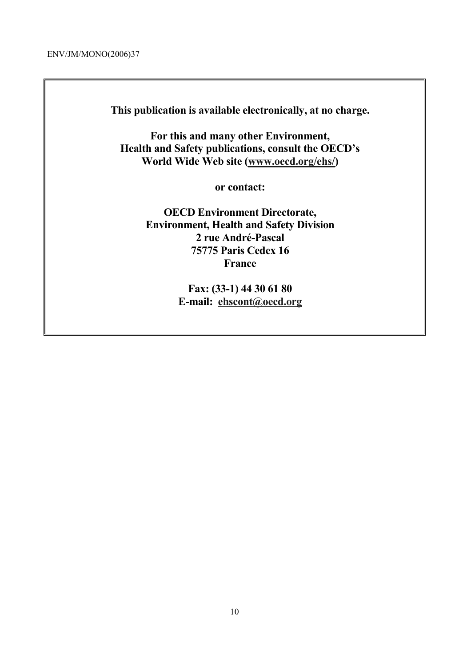**This publication is available electronically, at no charge.** 

**For this and many other Environment, Health and Safety publications, consult the OECD's World Wide Web site (www.oecd.org/ehs/)** 

**or contact:** 

**OECD Environment Directorate, Environment, Health and Safety Division 2 rue André-Pascal 75775 Paris Cedex 16 France** 

> **Fax: (33-1) 44 30 61 80 E-mail: ehscont@oecd.org**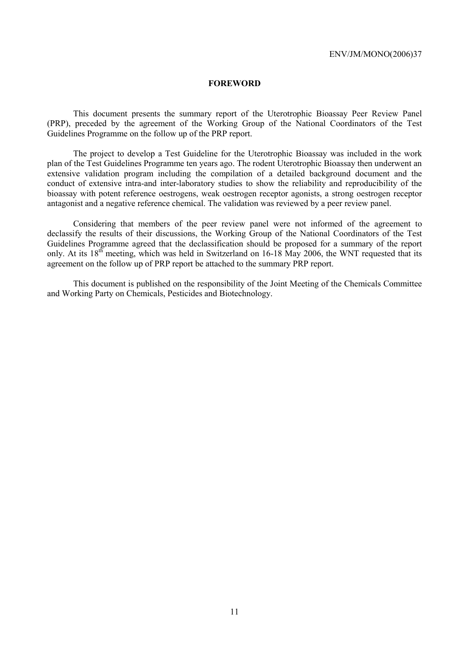### **FOREWORD**

 This document presents the summary report of the Uterotrophic Bioassay Peer Review Panel (PRP), preceded by the agreement of the Working Group of the National Coordinators of the Test Guidelines Programme on the follow up of the PRP report.

 The project to develop a Test Guideline for the Uterotrophic Bioassay was included in the work plan of the Test Guidelines Programme ten years ago. The rodent Uterotrophic Bioassay then underwent an extensive validation program including the compilation of a detailed background document and the conduct of extensive intra-and inter-laboratory studies to show the reliability and reproducibility of the bioassay with potent reference oestrogens, weak oestrogen receptor agonists, a strong oestrogen receptor antagonist and a negative reference chemical. The validation was reviewed by a peer review panel.

 Considering that members of the peer review panel were not informed of the agreement to declassify the results of their discussions, the Working Group of the National Coordinators of the Test Guidelines Programme agreed that the declassification should be proposed for a summary of the report only. At its  $18<sup>th</sup>$  meeting, which was held in Switzerland on 16-18 May 2006, the WNT requested that its agreement on the follow up of PRP report be attached to the summary PRP report.

 This document is published on the responsibility of the Joint Meeting of the Chemicals Committee and Working Party on Chemicals, Pesticides and Biotechnology.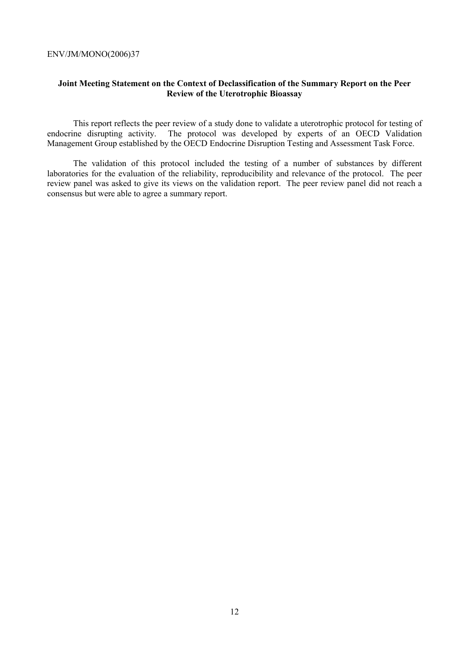### **Joint Meeting Statement on the Context of Declassification of the Summary Report on the Peer Review of the Uterotrophic Bioassay**

 This report reflects the peer review of a study done to validate a uterotrophic protocol for testing of endocrine disrupting activity. The protocol was developed by experts of an OECD Validation Management Group established by the OECD Endocrine Disruption Testing and Assessment Task Force.

 The validation of this protocol included the testing of a number of substances by different laboratories for the evaluation of the reliability, reproducibility and relevance of the protocol. The peer review panel was asked to give its views on the validation report. The peer review panel did not reach a consensus but were able to agree a summary report.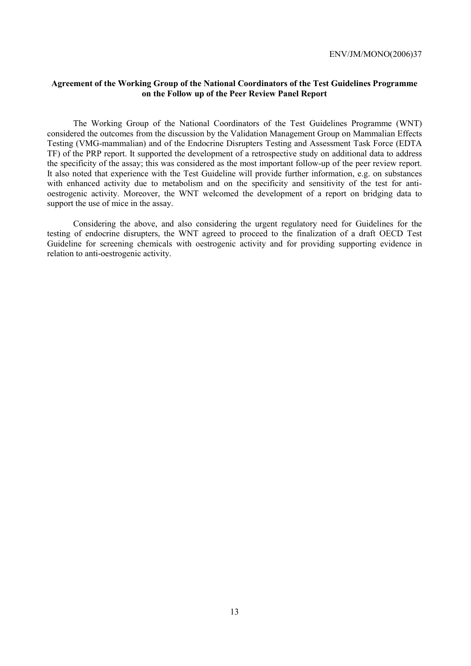### **Agreement of the Working Group of the National Coordinators of the Test Guidelines Programme on the Follow up of the Peer Review Panel Report**

 The Working Group of the National Coordinators of the Test Guidelines Programme (WNT) considered the outcomes from the discussion by the Validation Management Group on Mammalian Effects Testing (VMG-mammalian) and of the Endocrine Disrupters Testing and Assessment Task Force (EDTA TF) of the PRP report. It supported the development of a retrospective study on additional data to address the specificity of the assay; this was considered as the most important follow-up of the peer review report. It also noted that experience with the Test Guideline will provide further information, e.g. on substances with enhanced activity due to metabolism and on the specificity and sensitivity of the test for antioestrogenic activity. Moreover, the WNT welcomed the development of a report on bridging data to support the use of mice in the assay.

 Considering the above, and also considering the urgent regulatory need for Guidelines for the testing of endocrine disrupters, the WNT agreed to proceed to the finalization of a draft OECD Test Guideline for screening chemicals with oestrogenic activity and for providing supporting evidence in relation to anti-oestrogenic activity.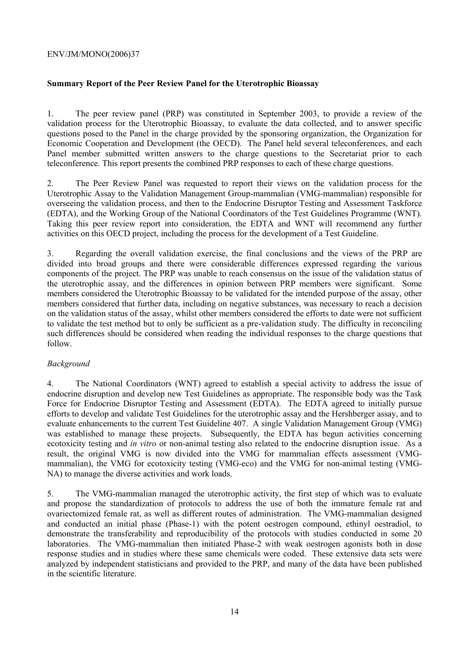### **Summary Report of the Peer Review Panel for the Uterotrophic Bioassay**

1. The peer review panel (PRP) was constituted in September 2003, to provide a review of the validation process for the Uterotrophic Bioassay, to evaluate the data collected, and to answer specific questions posed to the Panel in the charge provided by the sponsoring organization, the Organization for Economic Cooperation and Development (the OECD). The Panel held several teleconferences, and each Panel member submitted written answers to the charge questions to the Secretariat prior to each teleconference. This report presents the combined PRP responses to each of these charge questions.

2. The Peer Review Panel was requested to report their views on the validation process for the Uterotrophic Assay to the Validation Management Group-mammalian (VMG-mammalian) responsible for overseeing the validation process, and then to the Endocrine Disruptor Testing and Assessment Taskforce (EDTA), and the Working Group of the National Coordinators of the Test Guidelines Programme (WNT). Taking this peer review report into consideration, the EDTA and WNT will recommend any further activities on this OECD project, including the process for the development of a Test Guideline.

3. Regarding the overall validation exercise, the final conclusions and the views of the PRP are divided into broad groups and there were considerable differences expressed regarding the various components of the project. The PRP was unable to reach consensus on the issue of the validation status of the uterotrophic assay, and the differences in opinion between PRP members were significant. Some members considered the Uterotrophic Bioassay to be validated for the intended purpose of the assay, other members considered that further data, including on negative substances, was necessary to reach a decision on the validation status of the assay, whilst other members considered the efforts to date were not sufficient to validate the test method but to only be sufficient as a pre-validation study. The difficulty in reconciling such differences should be considered when reading the individual responses to the charge questions that follow.

### *Background*

4. The National Coordinators (WNT) agreed to establish a special activity to address the issue of endocrine disruption and develop new Test Guidelines as appropriate. The responsible body was the Task Force for Endocrine Disruptor Testing and Assessment (EDTA). The EDTA agreed to initially pursue efforts to develop and validate Test Guidelines for the uterotrophic assay and the Hershberger assay, and to evaluate enhancements to the current Test Guideline 407. A single Validation Management Group (VMG) was established to manage these projects. Subsequently, the EDTA has begun activities concerning ecotoxicity testing and *in vitro* or non-animal testing also related to the endocrine disruption issue. As a result, the original VMG is now divided into the VMG for mammalian effects assessment (VMGmammalian), the VMG for ecotoxicity testing (VMG-eco) and the VMG for non-animal testing (VMG-NA) to manage the diverse activities and work loads.

5. The VMG-mammalian managed the uterotrophic activity, the first step of which was to evaluate and propose the standardization of protocols to address the use of both the immature female rat and ovariectomized female rat, as well as different routes of administration. The VMG-mammalian designed and conducted an initial phase (Phase-1) with the potent oestrogen compound, ethinyl oestradiol, to demonstrate the transferability and reproducibility of the protocols with studies conducted in some 20 laboratories. The VMG-mammalian then initiated Phase-2 with weak oestrogen agonists both in dose response studies and in studies where these same chemicals were coded. These extensive data sets were analyzed by independent statisticians and provided to the PRP, and many of the data have been published in the scientific literature.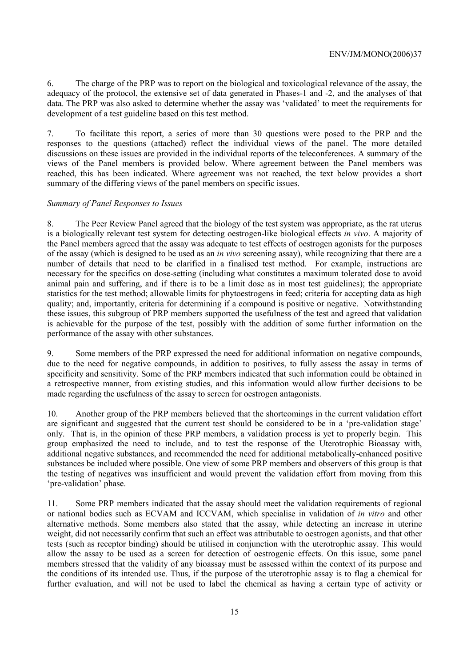6. The charge of the PRP was to report on the biological and toxicological relevance of the assay, the adequacy of the protocol, the extensive set of data generated in Phases-1 and -2, and the analyses of that data. The PRP was also asked to determine whether the assay was 'validated' to meet the requirements for development of a test guideline based on this test method.

7. To facilitate this report, a series of more than 30 questions were posed to the PRP and the responses to the questions (attached) reflect the individual views of the panel. The more detailed discussions on these issues are provided in the individual reports of the teleconferences. A summary of the views of the Panel members is provided below. Where agreement between the Panel members was reached, this has been indicated. Where agreement was not reached, the text below provides a short summary of the differing views of the panel members on specific issues.

### *Summary of Panel Responses to Issues*

8. The Peer Review Panel agreed that the biology of the test system was appropriate, as the rat uterus is a biologically relevant test system for detecting oestrogen-like biological effects *in vivo*. A majority of the Panel members agreed that the assay was adequate to test effects of oestrogen agonists for the purposes of the assay (which is designed to be used as an *in vivo* screening assay), while recognizing that there are a number of details that need to be clarified in a finalised test method. For example, instructions are necessary for the specifics on dose-setting (including what constitutes a maximum tolerated dose to avoid animal pain and suffering, and if there is to be a limit dose as in most test guidelines); the appropriate statistics for the test method; allowable limits for phytoestrogens in feed; criteria for accepting data as high quality; and, importantly, criteria for determining if a compound is positive or negative. Notwithstanding these issues, this subgroup of PRP members supported the usefulness of the test and agreed that validation is achievable for the purpose of the test, possibly with the addition of some further information on the performance of the assay with other substances.

9. Some members of the PRP expressed the need for additional information on negative compounds, due to the need for negative compounds, in addition to positives, to fully assess the assay in terms of specificity and sensitivity. Some of the PRP members indicated that such information could be obtained in a retrospective manner, from existing studies, and this information would allow further decisions to be made regarding the usefulness of the assay to screen for oestrogen antagonists.

10. Another group of the PRP members believed that the shortcomings in the current validation effort are significant and suggested that the current test should be considered to be in a 'pre-validation stage' only. That is, in the opinion of these PRP members, a validation process is yet to properly begin. This group emphasized the need to include, and to test the response of the Uterotrophic Bioassay with, additional negative substances, and recommended the need for additional metabolically-enhanced positive substances be included where possible. One view of some PRP members and observers of this group is that the testing of negatives was insufficient and would prevent the validation effort from moving from this 'pre-validation' phase.

11. Some PRP members indicated that the assay should meet the validation requirements of regional or national bodies such as ECVAM and ICCVAM, which specialise in validation of *in vitro* and other alternative methods. Some members also stated that the assay, while detecting an increase in uterine weight, did not necessarily confirm that such an effect was attributable to oestrogen agonists, and that other tests (such as receptor binding) should be utilised in conjunction with the uterotrophic assay. This would allow the assay to be used as a screen for detection of oestrogenic effects. On this issue, some panel members stressed that the validity of any bioassay must be assessed within the context of its purpose and the conditions of its intended use. Thus, if the purpose of the uterotrophic assay is to flag a chemical for further evaluation, and will not be used to label the chemical as having a certain type of activity or